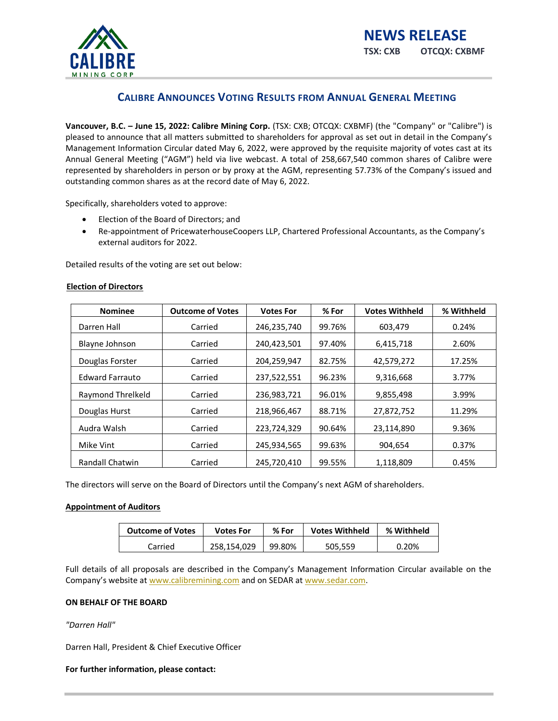

# **CALIBRE ANNOUNCES VOTING RESULTS FROM ANNUAL GENERAL MEETING**

**Vancouver, B.C. – June 15, 2022: Calibre Mining Corp.** (TSX: CXB; OTCQX: CXBMF) (the "Company" or "Calibre") is pleased to announce that all matters submitted to shareholders for approval as set out in detail in the Company's Management Information Circular dated May 6, 2022, were approved by the requisite majority of votes cast at its Annual General Meeting ("AGM") held via live webcast. A total of 258,667,540 common shares of Calibre were represented by shareholders in person or by proxy at the AGM, representing 57.73% of the Company's issued and outstanding common shares as at the record date of May 6, 2022.

Specifically, shareholders voted to approve:

- Election of the Board of Directors; and
- Re-appointment of PricewaterhouseCoopers LLP, Chartered Professional Accountants, as the Company's external auditors for 2022.

Detailed results of the voting are set out below:

#### **Election of Directors**

| <b>Nominee</b>         | <b>Outcome of Votes</b> | <b>Votes For</b> | % For  | <b>Votes Withheld</b> | % Withheld |
|------------------------|-------------------------|------------------|--------|-----------------------|------------|
| Darren Hall            | Carried                 | 246,235,740      | 99.76% | 603.479               | 0.24%      |
| <b>Blayne Johnson</b>  | Carried                 | 240,423,501      | 97.40% | 6,415,718             | 2.60%      |
| Douglas Forster        | Carried                 | 204,259,947      | 82.75% | 42,579,272            | 17.25%     |
| <b>Edward Farrauto</b> | Carried                 | 237,522,551      | 96.23% | 9,316,668             | 3.77%      |
| Raymond Threlkeld      | Carried                 | 236,983,721      | 96.01% | 9,855,498             | 3.99%      |
| Douglas Hurst          | Carried                 | 218,966,467      | 88.71% | 27,872,752            | 11.29%     |
| Audra Walsh            | Carried                 | 223,724,329      | 90.64% | 23,114,890            | 9.36%      |
| Mike Vint              | Carried                 | 245,934,565      | 99.63% | 904,654               | 0.37%      |
| <b>Randall Chatwin</b> | Carried                 | 245.720.410      | 99.55% | 1.118.809             | 0.45%      |

The directors will serve on the Board of Directors until the Company's next AGM of shareholders.

### **Appointment of Auditors**

| <b>Outcome of Votes</b> | Votes For   | % For  | <b>Votes Withheld</b> | % Withheld |
|-------------------------|-------------|--------|-----------------------|------------|
| Carried                 | 258.154.029 | 99.80% | 505.559               | 0.20%      |

Full details of all proposals are described in the Company's Management Information Circular available on the Company's website at [www.calibremining.com](http://www.calibremining.com/) and on SEDAR at [www.sedar.com.](http://www.sedar.com/)

#### **ON BEHALF OF THE BOARD**

*"Darren Hall"*

Darren Hall, President & Chief Executive Officer

#### **For further information, please contact:**